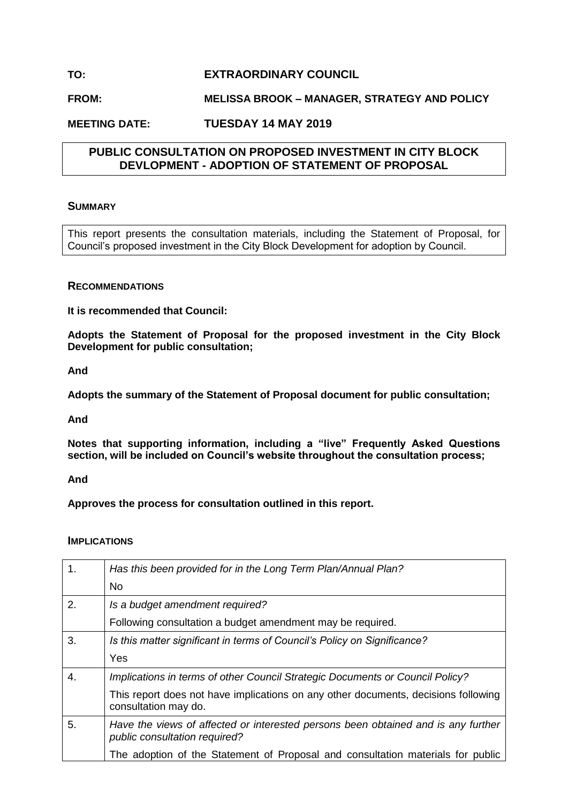# **TO: EXTRAORDINARY COUNCIL**

# **FROM: MELISSA BROOK – MANAGER, STRATEGY AND POLICY**

## **MEETING DATE: TUESDAY 14 MAY 2019**

## **PUBLIC CONSULTATION ON PROPOSED INVESTMENT IN CITY BLOCK DEVLOPMENT - ADOPTION OF STATEMENT OF PROPOSAL**

### **SUMMARY**

This report presents the consultation materials, including the Statement of Proposal, for Council's proposed investment in the City Block Development for adoption by Council.

### **RECOMMENDATIONS**

**It is recommended that Council:**

**Adopts the Statement of Proposal for the proposed investment in the City Block Development for public consultation;**

**And**

**Adopts the summary of the Statement of Proposal document for public consultation;**

**And** 

**Notes that supporting information, including a "live" Frequently Asked Questions section, will be included on Council's website throughout the consultation process;**

**And**

**Approves the process for consultation outlined in this report.**

#### **IMPLICATIONS**

| 1. | Has this been provided for in the Long Term Plan/Annual Plan?                                                      |
|----|--------------------------------------------------------------------------------------------------------------------|
|    | <b>No</b>                                                                                                          |
| 2. | Is a budget amendment required?                                                                                    |
|    | Following consultation a budget amendment may be required.                                                         |
| 3. | Is this matter significant in terms of Council's Policy on Significance?                                           |
|    | Yes                                                                                                                |
| 4. | Implications in terms of other Council Strategic Documents or Council Policy?                                      |
|    | This report does not have implications on any other documents, decisions following<br>consultation may do.         |
| 5. | Have the views of affected or interested persons been obtained and is any further<br>public consultation required? |
|    | The adoption of the Statement of Proposal and consultation materials for public                                    |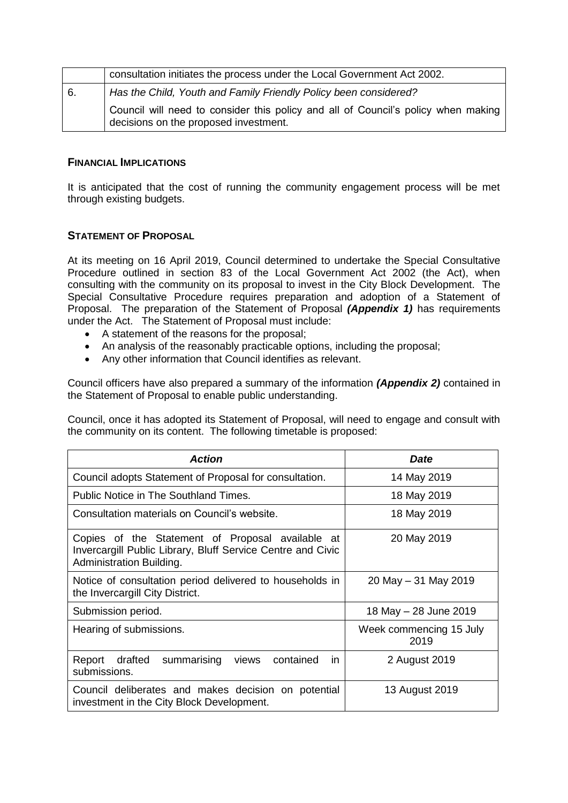|    | consultation initiates the process under the Local Government Act 2002.                                                    |  |
|----|----------------------------------------------------------------------------------------------------------------------------|--|
| 6. | Has the Child, Youth and Family Friendly Policy been considered?                                                           |  |
|    | Council will need to consider this policy and all of Council's policy when making<br>decisions on the proposed investment. |  |

## **FINANCIAL IMPLICATIONS**

It is anticipated that the cost of running the community engagement process will be met through existing budgets.

### **STATEMENT OF PROPOSAL**

At its meeting on 16 April 2019, Council determined to undertake the Special Consultative Procedure outlined in section 83 of the Local Government Act 2002 (the Act), when consulting with the community on its proposal to invest in the City Block Development. The Special Consultative Procedure requires preparation and adoption of a Statement of Proposal. The preparation of the Statement of Proposal *(Appendix 1)* has requirements under the Act. The Statement of Proposal must include:

- A statement of the reasons for the proposal;
- An analysis of the reasonably practicable options, including the proposal;
- Any other information that Council identifies as relevant.

Council officers have also prepared a summary of the information *(Appendix 2)* contained in the Statement of Proposal to enable public understanding.

Council, once it has adopted its Statement of Proposal, will need to engage and consult with the community on its content. The following timetable is proposed:

| <b>Action</b>                                                                                                                               | <b>Date</b>                     |
|---------------------------------------------------------------------------------------------------------------------------------------------|---------------------------------|
| Council adopts Statement of Proposal for consultation.                                                                                      | 14 May 2019                     |
| Public Notice in The Southland Times.                                                                                                       | 18 May 2019                     |
| Consultation materials on Council's website.                                                                                                | 18 May 2019                     |
| Copies of the Statement of Proposal available at<br>Invercargill Public Library, Bluff Service Centre and Civic<br>Administration Building. | 20 May 2019                     |
| Notice of consultation period delivered to households in<br>the Invercargill City District.                                                 | 20 May - 31 May 2019            |
| Submission period.                                                                                                                          | 18 May - 28 June 2019           |
| Hearing of submissions.                                                                                                                     | Week commencing 15 July<br>2019 |
| Report drafted<br>summarising<br>contained<br>views<br>in.<br>submissions.                                                                  | 2 August 2019                   |
| Council deliberates and makes decision on potential<br>investment in the City Block Development.                                            | 13 August 2019                  |